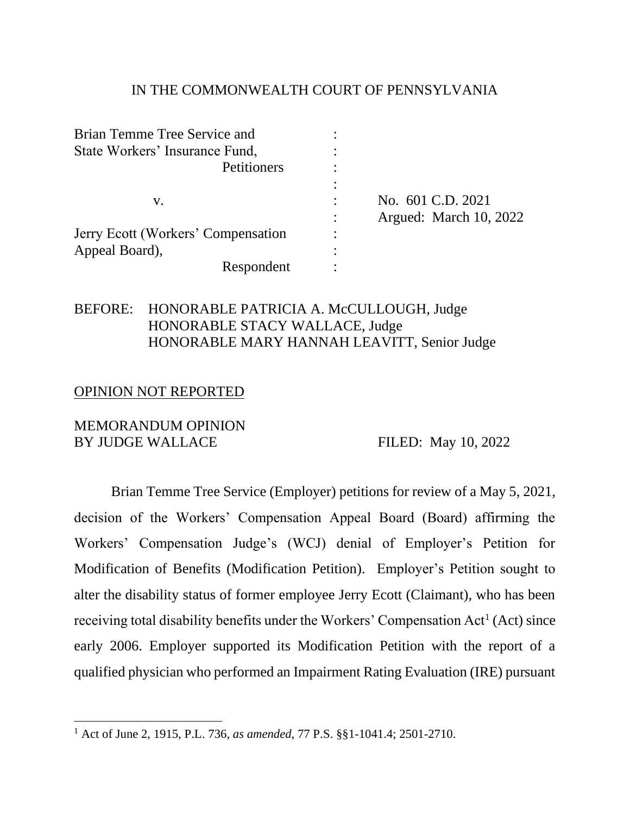#### IN THE COMMONWEALTH COURT OF PENNSYLVANIA

| Brian Temme Tree Service and       |                        |
|------------------------------------|------------------------|
| State Workers' Insurance Fund,     |                        |
| Petitioners                        |                        |
|                                    |                        |
| V.                                 | No. 601 C.D. 2021      |
|                                    | Argued: March 10, 2022 |
| Jerry Ecott (Workers' Compensation |                        |
| Appeal Board),                     |                        |
| Respondent                         |                        |

## BEFORE: HONORABLE PATRICIA A. McCULLOUGH, Judge HONORABLE STACY WALLACE, Judge HONORABLE MARY HANNAH LEAVITT, Senior Judge

#### OPINION NOT REPORTED

#### MEMORANDUM OPINION BY JUDGE WALLACE FILED: May 10, 2022

Brian Temme Tree Service (Employer) petitions for review of a May 5, 2021, decision of the Workers' Compensation Appeal Board (Board) affirming the Workers' Compensation Judge's (WCJ) denial of Employer's Petition for Modification of Benefits (Modification Petition). Employer's Petition sought to alter the disability status of former employee Jerry Ecott (Claimant), who has been receiving total disability benefits under the Workers' Compensation Act<sup>1</sup> (Act) since early 2006. Employer supported its Modification Petition with the report of a qualified physician who performed an Impairment Rating Evaluation (IRE) pursuant

<sup>1</sup> Act of June 2, 1915, P.L. 736*, as amended*, 77 P.S. §§1-1041.4; 2501-2710.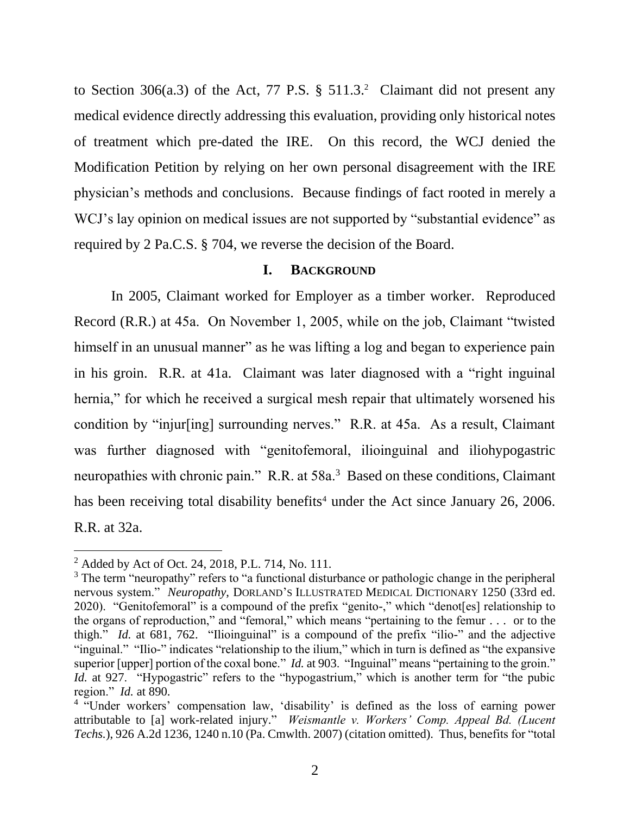to Section 306(a.3) of the Act, 77 P.S. § 511.3. 2 Claimant did not present any medical evidence directly addressing this evaluation, providing only historical notes of treatment which pre-dated the IRE. On this record, the WCJ denied the Modification Petition by relying on her own personal disagreement with the IRE physician's methods and conclusions. Because findings of fact rooted in merely a WCJ's lay opinion on medical issues are not supported by "substantial evidence" as required by 2 Pa.C.S. § 704, we reverse the decision of the Board.

#### **I. BACKGROUND**

In 2005, Claimant worked for Employer as a timber worker. Reproduced Record (R.R.) at 45a. On November 1, 2005, while on the job, Claimant "twisted himself in an unusual manner" as he was lifting a log and began to experience pain in his groin. R.R. at 41a. Claimant was later diagnosed with a "right inguinal hernia," for which he received a surgical mesh repair that ultimately worsened his condition by "injur[ing] surrounding nerves." R.R. at 45a. As a result, Claimant was further diagnosed with "genitofemoral, ilioinguinal and iliohypogastric neuropathies with chronic pain." R.R. at 58a.<sup>3</sup> Based on these conditions, Claimant has been receiving total disability benefits<sup>4</sup> under the Act since January 26, 2006. R.R. at 32a.

 $^{2}$  Added by Act of Oct. 24, 2018, P.L. 714, No. 111.

<sup>&</sup>lt;sup>3</sup> The term "neuropathy" refers to "a functional disturbance or pathologic change in the peripheral nervous system." *Neuropathy*, DORLAND'S ILLUSTRATED MEDICAL DICTIONARY 1250 (33rd ed. 2020). "Genitofemoral" is a compound of the prefix "genito-," which "denot[es] relationship to the organs of reproduction," and "femoral," which means "pertaining to the femur . . . or to the thigh." *Id.* at 681, 762. "Ilioinguinal" is a compound of the prefix "ilio-" and the adjective "inguinal." "Ilio-" indicates "relationship to the ilium," which in turn is defined as "the expansive superior [upper] portion of the coxal bone." *Id.* at 903. "Inguinal" means "pertaining to the groin." *Id.* at 927. "Hypogastric" refers to the "hypogastrium," which is another term for "the pubic region." *Id.* at 890.

<sup>&</sup>lt;sup>4</sup> "Under workers' compensation law, 'disability' is defined as the loss of earning power attributable to [a] work-related injury." *Weismantle v. Workers' Comp. Appeal Bd. (Lucent Techs.*), 926 A.2d 1236, 1240 n.10 (Pa. Cmwlth. 2007) (citation omitted). Thus, benefits for "total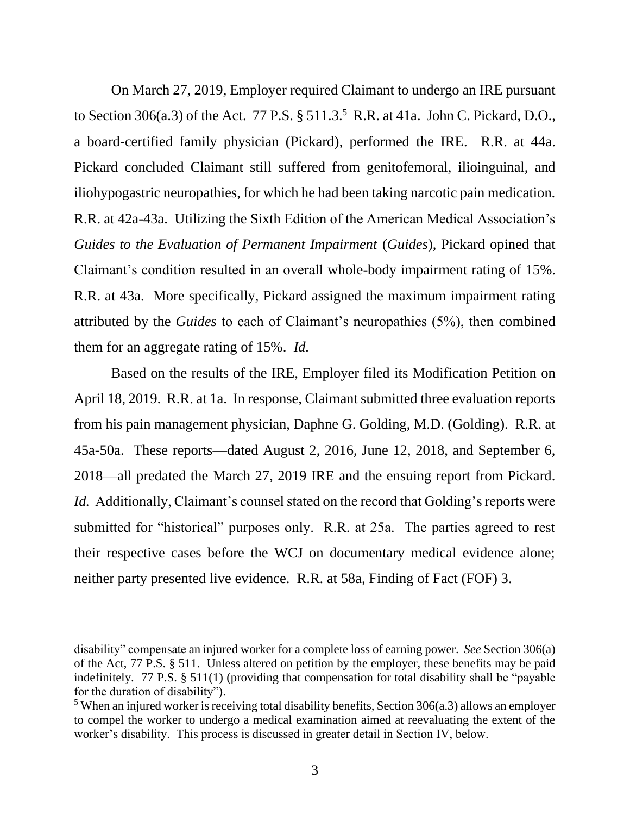On March 27, 2019, Employer required Claimant to undergo an IRE pursuant to Section 306(a.3) of the Act.  $77$  P.S.  $\S 511.3$ <sup>5</sup> R.R. at 41a. John C. Pickard, D.O., a board-certified family physician (Pickard), performed the IRE. R.R. at 44a. Pickard concluded Claimant still suffered from genitofemoral, ilioinguinal, and iliohypogastric neuropathies, for which he had been taking narcotic pain medication. R.R. at 42a-43a. Utilizing the Sixth Edition of the American Medical Association's *Guides to the Evaluation of Permanent Impairment* (*Guides*), Pickard opined that Claimant's condition resulted in an overall whole-body impairment rating of 15%. R.R. at 43a. More specifically, Pickard assigned the maximum impairment rating attributed by the *Guides* to each of Claimant's neuropathies (5%), then combined them for an aggregate rating of 15%. *Id.*

Based on the results of the IRE, Employer filed its Modification Petition on April 18, 2019. R.R. at 1a. In response, Claimant submitted three evaluation reports from his pain management physician, Daphne G. Golding, M.D. (Golding). R.R. at 45a-50a. These reports—dated August 2, 2016, June 12, 2018, and September 6, 2018—all predated the March 27, 2019 IRE and the ensuing report from Pickard. *Id.* Additionally, Claimant's counsel stated on the record that Golding's reports were submitted for "historical" purposes only. R.R. at 25a. The parties agreed to rest their respective cases before the WCJ on documentary medical evidence alone; neither party presented live evidence. R.R. at 58a, Finding of Fact (FOF) 3.

disability" compensate an injured worker for a complete loss of earning power. *See* Section 306(a) of the Act, 77 P.S. § 511. Unless altered on petition by the employer, these benefits may be paid indefinitely. 77 P.S. § 511(1) (providing that compensation for total disability shall be "payable for the duration of disability").

 $5$  When an injured worker is receiving total disability benefits, Section 306(a.3) allows an employer to compel the worker to undergo a medical examination aimed at reevaluating the extent of the worker's disability. This process is discussed in greater detail in Section IV, below.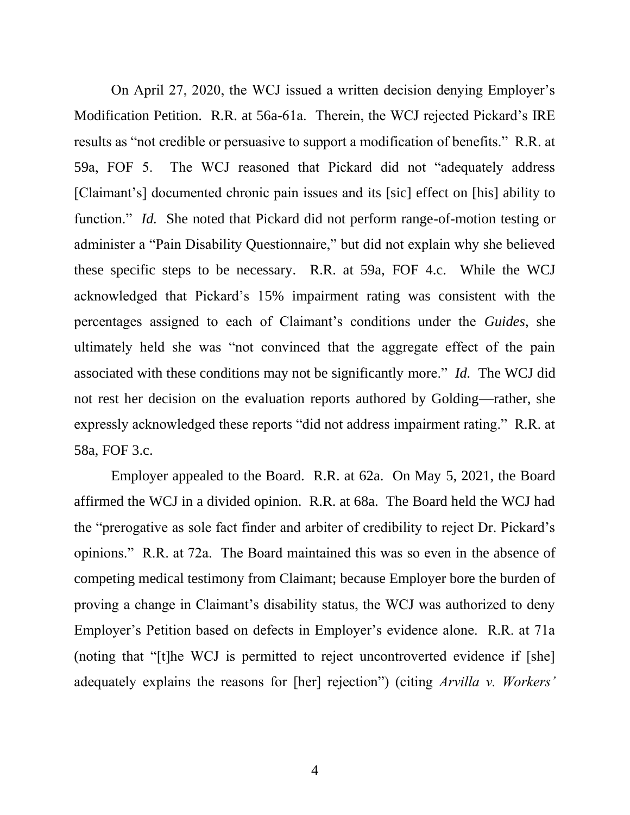On April 27, 2020, the WCJ issued a written decision denying Employer's Modification Petition. R.R. at 56a-61a. Therein, the WCJ rejected Pickard's IRE results as "not credible or persuasive to support a modification of benefits." R.R. at 59a, FOF 5. The WCJ reasoned that Pickard did not "adequately address [Claimant's] documented chronic pain issues and its [sic] effect on [his] ability to function." *Id.* She noted that Pickard did not perform range-of-motion testing or administer a "Pain Disability Questionnaire," but did not explain why she believed these specific steps to be necessary. R.R. at 59a, FOF 4.c. While the WCJ acknowledged that Pickard's 15% impairment rating was consistent with the percentages assigned to each of Claimant's conditions under the *Guides*, she ultimately held she was "not convinced that the aggregate effect of the pain associated with these conditions may not be significantly more." *Id.* The WCJ did not rest her decision on the evaluation reports authored by Golding—rather, she expressly acknowledged these reports "did not address impairment rating." R.R. at 58a, FOF 3.c.

Employer appealed to the Board. R.R. at 62a. On May 5, 2021, the Board affirmed the WCJ in a divided opinion. R.R. at 68a. The Board held the WCJ had the "prerogative as sole fact finder and arbiter of credibility to reject Dr. Pickard's opinions." R.R. at 72a. The Board maintained this was so even in the absence of competing medical testimony from Claimant; because Employer bore the burden of proving a change in Claimant's disability status, the WCJ was authorized to deny Employer's Petition based on defects in Employer's evidence alone. R.R. at 71a (noting that "[t]he WCJ is permitted to reject uncontroverted evidence if [she] adequately explains the reasons for [her] rejection") (citing *Arvilla v. Workers'*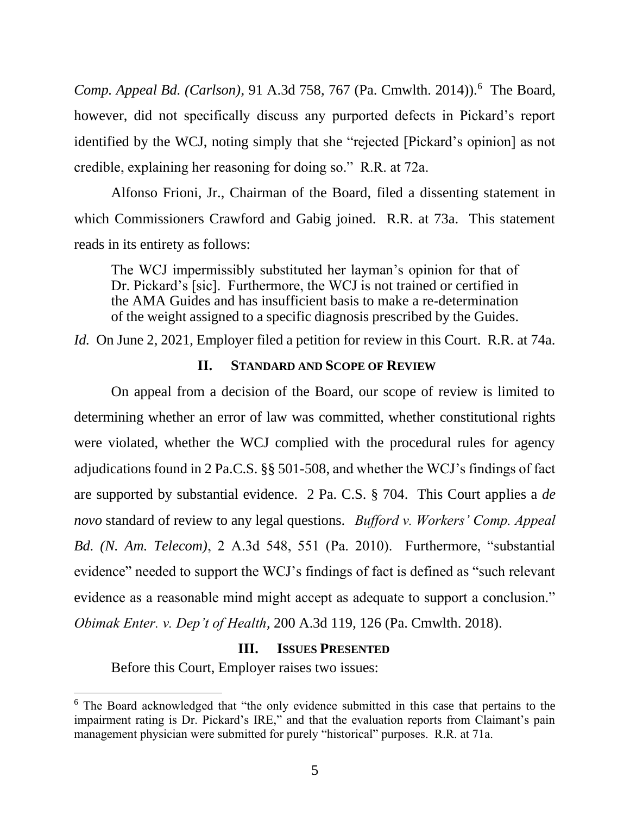Comp. Appeal Bd. (Carlson), 91 A.3d 758, 767 (Pa. Cmwlth. 2014)).<sup>6</sup> The Board, however, did not specifically discuss any purported defects in Pickard's report identified by the WCJ, noting simply that she "rejected [Pickard's opinion] as not credible, explaining her reasoning for doing so." R.R. at 72a.

Alfonso Frioni, Jr., Chairman of the Board, filed a dissenting statement in which Commissioners Crawford and Gabig joined. R.R. at 73a. This statement reads in its entirety as follows:

The WCJ impermissibly substituted her layman's opinion for that of Dr. Pickard's [sic]. Furthermore, the WCJ is not trained or certified in the AMA Guides and has insufficient basis to make a re-determination of the weight assigned to a specific diagnosis prescribed by the Guides.

*Id.* On June 2, 2021, Employer filed a petition for review in this Court. R.R. at 74a.

### **II. STANDARD AND SCOPE OF REVIEW**

On appeal from a decision of the Board, our scope of review is limited to determining whether an error of law was committed, whether constitutional rights were violated, whether the WCJ complied with the procedural rules for agency adjudications found in 2 Pa.C.S. §§ 501-508, and whether the WCJ's findings of fact are supported by substantial evidence. 2 Pa. C.S. § 704. This Court applies a *de novo* standard of review to any legal questions. *Bufford v. Workers' Comp. Appeal Bd. (N. Am. Telecom)*, 2 A.3d 548, 551 (Pa. 2010). Furthermore, "substantial evidence" needed to support the WCJ's findings of fact is defined as "such relevant evidence as a reasonable mind might accept as adequate to support a conclusion." *Obimak Enter. v. Dep't of Health*, 200 A.3d 119, 126 (Pa. Cmwlth. 2018).

### **III. ISSUES PRESENTED**

Before this Court, Employer raises two issues:

<sup>6</sup> The Board acknowledged that "the only evidence submitted in this case that pertains to the impairment rating is Dr. Pickard's IRE," and that the evaluation reports from Claimant's pain management physician were submitted for purely "historical" purposes. R.R. at 71a.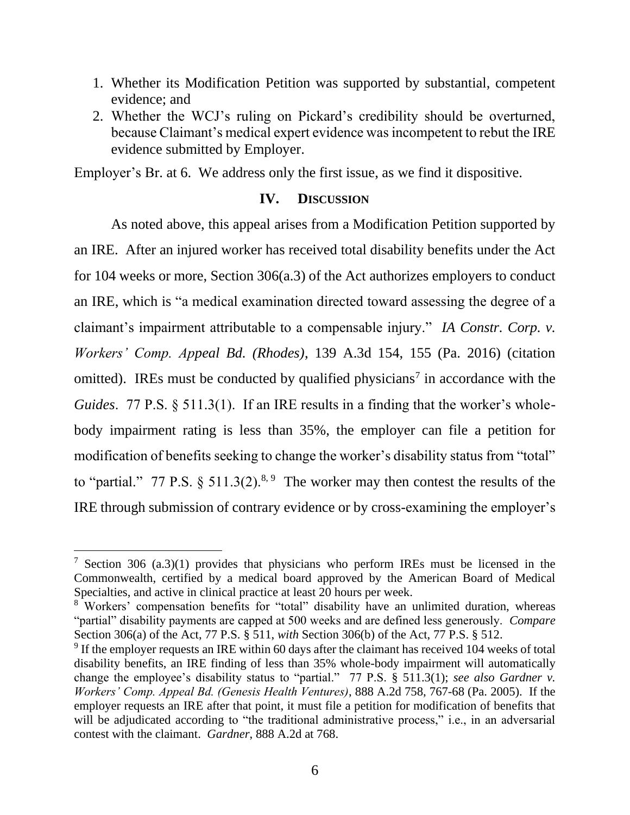- 1. Whether its Modification Petition was supported by substantial, competent evidence; and
- 2. Whether the WCJ's ruling on Pickard's credibility should be overturned, because Claimant's medical expert evidence was incompetent to rebut the IRE evidence submitted by Employer.

Employer's Br. at 6. We address only the first issue, as we find it dispositive.

### **IV. DISCUSSION**

As noted above, this appeal arises from a Modification Petition supported by an IRE. After an injured worker has received total disability benefits under the Act for 104 weeks or more, Section 306(a.3) of the Act authorizes employers to conduct an IRE, which is "a medical examination directed toward assessing the degree of a claimant's impairment attributable to a compensable injury." *IA Constr. Corp. v. Workers' Comp. Appeal Bd. (Rhodes)*, 139 A.3d 154, 155 (Pa. 2016) (citation omitted). IREs must be conducted by qualified physicians<sup>7</sup> in accordance with the *Guides*. 77 P.S. § 511.3(1). If an IRE results in a finding that the worker's wholebody impairment rating is less than 35%, the employer can file a petition for modification of benefits seeking to change the worker's disability status from "total" to "partial." 77 P.S.  $\S 511.3(2).^{8.9}$  The worker may then contest the results of the IRE through submission of contrary evidence or by cross-examining the employer's

<sup>&</sup>lt;sup>7</sup> Section 306 (a.3)(1) provides that physicians who perform IREs must be licensed in the Commonwealth, certified by a medical board approved by the American Board of Medical Specialties, and active in clinical practice at least 20 hours per week.

<sup>8</sup> Workers' compensation benefits for "total" disability have an unlimited duration, whereas "partial" disability payments are capped at 500 weeks and are defined less generously. *Compare* Section 306(a) of the Act, 77 P.S. § 511, *with* Section 306(b) of the Act, 77 P.S. § 512.

 $9$  If the employer requests an IRE within 60 days after the claimant has received 104 weeks of total disability benefits, an IRE finding of less than 35% whole-body impairment will automatically change the employee's disability status to "partial." 77 P.S. § 511.3(1); *see also Gardner v. Workers' Comp. Appeal Bd. (Genesis Health Ventures)*, 888 A.2d 758, 767-68 (Pa. 2005). If the employer requests an IRE after that point, it must file a petition for modification of benefits that will be adjudicated according to "the traditional administrative process," i.e., in an adversarial contest with the claimant. *Gardner*, 888 A.2d at 768.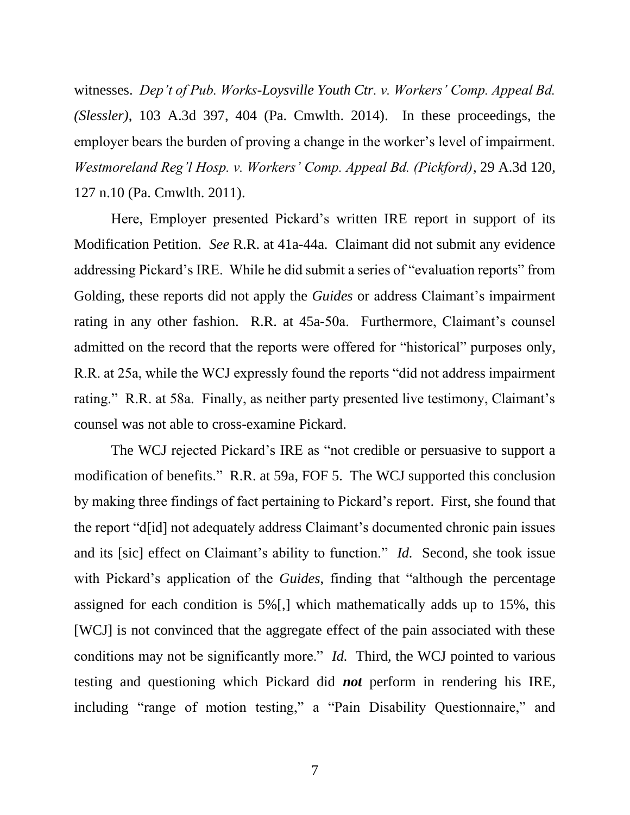witnesses. *Dep't of Pub. Works-Loysville Youth Ctr. v. Workers' Comp. Appeal Bd. (Slessler)*, 103 A.3d 397, 404 (Pa. Cmwlth. 2014). In these proceedings, the employer bears the burden of proving a change in the worker's level of impairment. *Westmoreland Reg'l Hosp. v. Workers' Comp. Appeal Bd. (Pickford)*, 29 A.3d 120, 127 n.10 (Pa. Cmwlth. 2011).

Here, Employer presented Pickard's written IRE report in support of its Modification Petition. *See* R.R. at 41a-44a. Claimant did not submit any evidence addressing Pickard's IRE. While he did submit a series of "evaluation reports" from Golding, these reports did not apply the *Guides* or address Claimant's impairment rating in any other fashion. R.R. at 45a-50a. Furthermore, Claimant's counsel admitted on the record that the reports were offered for "historical" purposes only, R.R. at 25a, while the WCJ expressly found the reports "did not address impairment rating." R.R. at 58a. Finally, as neither party presented live testimony, Claimant's counsel was not able to cross-examine Pickard.

The WCJ rejected Pickard's IRE as "not credible or persuasive to support a modification of benefits." R.R. at 59a, FOF 5. The WCJ supported this conclusion by making three findings of fact pertaining to Pickard's report. First, she found that the report "d[id] not adequately address Claimant's documented chronic pain issues and its [sic] effect on Claimant's ability to function." *Id.* Second, she took issue with Pickard's application of the *Guides*, finding that "although the percentage assigned for each condition is 5%[,] which mathematically adds up to 15%, this [WCJ] is not convinced that the aggregate effect of the pain associated with these conditions may not be significantly more." *Id.* Third, the WCJ pointed to various testing and questioning which Pickard did *not* perform in rendering his IRE, including "range of motion testing," a "Pain Disability Questionnaire," and

7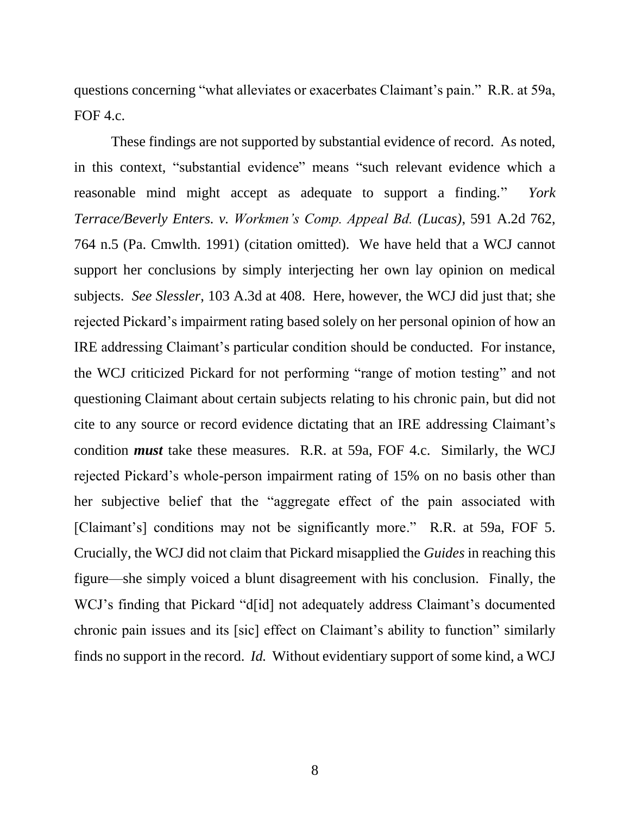questions concerning "what alleviates or exacerbates Claimant's pain." R.R. at 59a, FOF 4.c.

These findings are not supported by substantial evidence of record. As noted, in this context, "substantial evidence" means "such relevant evidence which a reasonable mind might accept as adequate to support a finding." *York Terrace/Beverly Enters. v. Workmen's Comp. Appeal Bd. (Lucas)*, 591 A.2d 762, 764 n.5 (Pa. Cmwlth. 1991) (citation omitted). We have held that a WCJ cannot support her conclusions by simply interjecting her own lay opinion on medical subjects. *See Slessler*, 103 A.3d at 408. Here, however, the WCJ did just that; she rejected Pickard's impairment rating based solely on her personal opinion of how an IRE addressing Claimant's particular condition should be conducted. For instance, the WCJ criticized Pickard for not performing "range of motion testing" and not questioning Claimant about certain subjects relating to his chronic pain, but did not cite to any source or record evidence dictating that an IRE addressing Claimant's condition *must* take these measures. R.R. at 59a, FOF 4.c. Similarly, the WCJ rejected Pickard's whole-person impairment rating of 15% on no basis other than her subjective belief that the "aggregate effect of the pain associated with [Claimant's] conditions may not be significantly more." R.R. at 59a, FOF 5. Crucially, the WCJ did not claim that Pickard misapplied the *Guides* in reaching this figure—she simply voiced a blunt disagreement with his conclusion. Finally, the WCJ's finding that Pickard "d[id] not adequately address Claimant's documented chronic pain issues and its [sic] effect on Claimant's ability to function" similarly finds no support in the record. *Id.* Without evidentiary support of some kind, a WCJ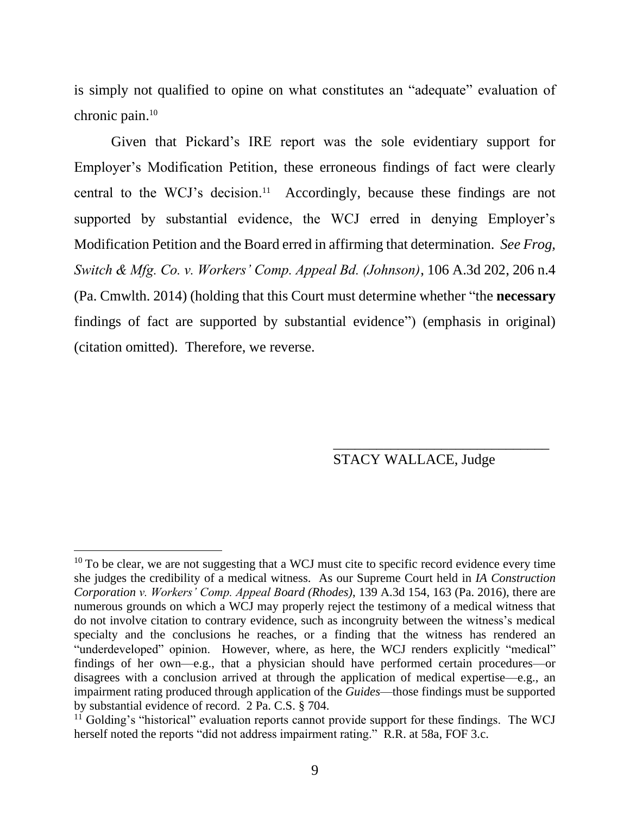is simply not qualified to opine on what constitutes an "adequate" evaluation of chronic pain.<sup>10</sup>

Given that Pickard's IRE report was the sole evidentiary support for Employer's Modification Petition, these erroneous findings of fact were clearly central to the WCJ's decision.<sup>11</sup> Accordingly, because these findings are not supported by substantial evidence, the WCJ erred in denying Employer's Modification Petition and the Board erred in affirming that determination. *See Frog, Switch & Mfg. Co. v. Workers' Comp. Appeal Bd. (Johnson)*, 106 A.3d 202, 206 n.4 (Pa. Cmwlth. 2014) (holding that this Court must determine whether "the **necessary** findings of fact are supported by substantial evidence") (emphasis in original) (citation omitted). Therefore, we reverse.

## STACY WALLACE, Judge

\_\_\_\_\_\_\_\_\_\_\_\_\_\_\_\_\_\_\_\_\_\_\_\_\_\_\_\_\_\_

 $10$  To be clear, we are not suggesting that a WCJ must cite to specific record evidence every time she judges the credibility of a medical witness. As our Supreme Court held in *IA Construction Corporation v. Workers' Comp. Appeal Board (Rhodes)*, 139 A.3d 154, 163 (Pa. 2016), there are numerous grounds on which a WCJ may properly reject the testimony of a medical witness that do not involve citation to contrary evidence, such as incongruity between the witness's medical specialty and the conclusions he reaches, or a finding that the witness has rendered an "underdeveloped" opinion. However, where, as here, the WCJ renders explicitly "medical" findings of her own—e.g., that a physician should have performed certain procedures—or disagrees with a conclusion arrived at through the application of medical expertise—e.g., an impairment rating produced through application of the *Guides*—those findings must be supported by substantial evidence of record. 2 Pa. C.S. § 704.

 $11$  Golding's "historical" evaluation reports cannot provide support for these findings. The WCJ herself noted the reports "did not address impairment rating." R.R. at 58a, FOF 3.c.